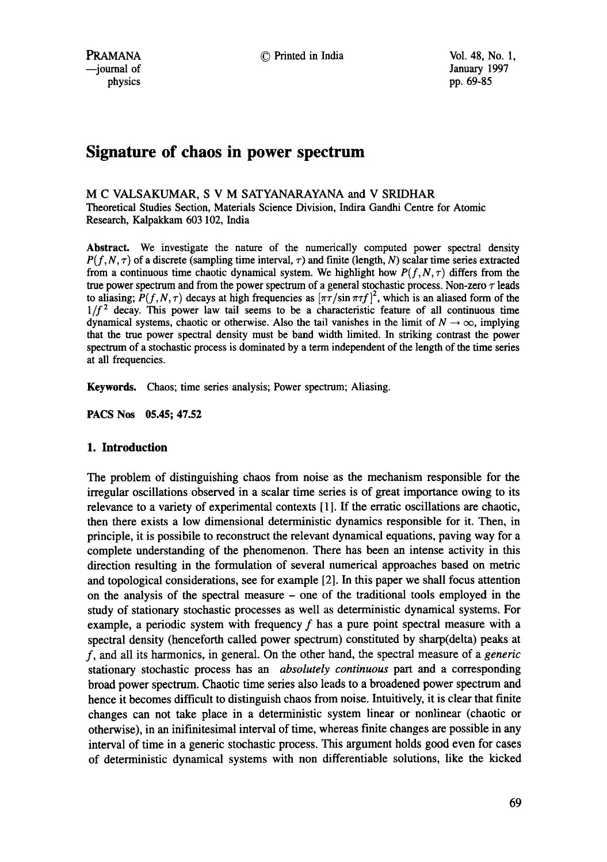# **Signature of chaos in power spectrum**

# M C VALSAKUMAR, S V M SATYANARAYANA and V SRIDHAR

Theoretical Studies Section, Materials Science Division, Indira Gandhi Centre for Atomic Research, Kalpakkam 603 102, India

Abstract. We investigate the nature of the numerically computed power spectral density  $P(f, N, \tau)$  of a discrete (sampling time interval,  $\tau$ ) and finite (length, N) scalar time series extracted from a continuous time chaotic dynamical system. We highlight how  $P(f, N, \tau)$  differs from the true power spectrum and from the power spectrum of a general stochastic process. Non-zero  $\tau$  leads to aliasing;  $P(f, N, \tau)$  decays at high frequencies as  $[\pi \tau / \sin \pi \tau f]^2$ , which is an aliased form of the  $1/f<sup>2</sup>$  decay. This power law tail seems to be a characteristic feature of all continuous time dynamical systems, chaotic or otherwise. Also the tail vanishes in the limit of  $N \to \infty$ , implying that the true power spectral density must be band width limited. In striking contrast the power spectrum of a stochastic process is dominated by a term independent of the length of the time series at all frequencies.

Keywords. Chaos; time series analysis; Power spectrum; Aliasing.

**PACS Nos 05.45; 47.52** 

# **1. Introduction**

The problem of distinguishing chaos from noise as the mechanism responsible for the irregular oscillations observed in a scalar time series is of great importance owing to its relevance to a variety of experimental contexts [ 1]. If the erratic oscillations are chaotic, then there exists a low dimensional deterministic dynamics responsible for it. Then, in principle, it is possibile to reconstruct the relevant dynamical equations, paving way for a complete understanding of the phenomenon. There has been an intense activity in this direction resulting in the formulation of several numerical approaches based on metric and topological considerations, see for example [2]. In this paper we shall focus attention on the analysis of the spectral measure - one of the traditional tools employed in the study of stationary stochastic processes as well as deterministic dynamical systems. For example, a periodic system with frequency  $f$  has a pure point spectral measure with a spectral density (henceforth called power spectrum) constituted by sharp(delta) peaks at f, and all its harmonics, in general. On the other hand, the spectral measure of a *generic*  stationary stochastic process has an *absolutely continuous* part and a corresponding broad power spectrum. Chaotic time series also leads to a broadened power spectrum and hence it becomes difficult to distinguish chaos from noise. Intuitively, it is clear that finite changes can not take place in a deterministic system linear or nonlinear (chaotic or otherwise), in an inifinitesimal interval of time, whereas finite changes are possible in any interval of time in a generic stochastic process. This argument holds good even for cases of deterministic dynamical systems with non differentiable solutions, like the kicked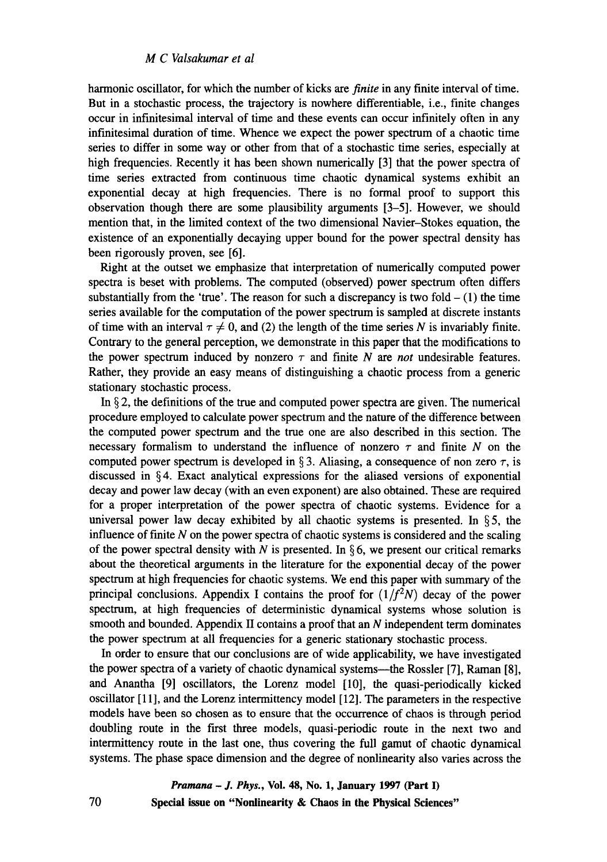harmonic oscillator, for which the number of kicks are *finite* in any finite interval of time. But in a stochastic process, the trajectory is nowhere differentiable, i.e., finite changes occur in infinitesimal interval of time and these events can occur infinitely often in any infinitesimal duration of time. Whence we expect the power spectrum of a chaotic time series to differ in some way or other from that of a stochastic time series, especially at high frequencies. Recently it has been shown numerically [3] that the power spectra of time series extracted from continuous time chaotic dynamical systems exhibit an exponential decay at high frequencies. There is no formal proof to support this observation though there are some plausibility arguments [3-5]. However, we should mention that, in the limited context of the two dimensional Navier-Stokes equation, the existence of an exponentially decaying upper bound for the power spectral density has been rigorously proven, see [6].

Right at the outset we emphasize that interpretation of numerically computed power spectra is beset with problems. The computed (observed) power spectrum often differs substantially from the 'true'. The reason for such a discrepancy is two fold  $- (1)$  the time series available for the computation of the power spectrum is sampled at discrete instants of time with an interval  $\tau \neq 0$ , and (2) the length of the time series N is invariably finite. Contrary to the general perception, we demonstrate in this paper that the modifications to the power spectrum induced by nonzero  $\tau$  and finite *N* are *not* undesirable features. Rather, they provide an easy means of distinguishing a chaotic process from a generic stationary stochastic process.

In  $\S$  2, the definitions of the true and computed power spectra are given. The numerical procedure employed to calculate power spectrum and the nature of the difference between the computed power spectrum and the true one are also described in this section. The necessary formalism to understand the influence of nonzero  $\tau$  and finite N on the computed power spectrum is developed in § 3. Aliasing, a consequence of non zero  $\tau$ , is discussed in § 4. Exact analytical expressions for the aliased versions of exponential decay and power law decay (with an even exponent) are also obtained. These are required for a proper interpretation of the power spectra of chaotic systems. Evidence for a universal power law decay exhibited by all chaotic systems is presented. In  $\S 5$ , the influence of finite  $N$  on the power spectra of chaotic systems is considered and the scaling of the power spectral density with N is presented. In §6, we present our critical remarks about the theoretical arguments in the literature for the exponential decay of the power spectrum at high frequencies for chaotic systems. We end this paper with summary of the principal conclusions. Appendix I contains the proof for  $(1/f<sup>2</sup>N)$  decay of the power spectrum, at high frequencies of deterministic dynamical systems whose solution is smooth and bounded. Appendix II contains a proof that an  $N$  independent term dominates the power spectrum at all frequencies for a generic stationary stochastic process.

In order to ensure that our conclusions are of wide applicability, we have investigated the power spectra of a variety of chaotic dynamical systems—the Rossler [7], Raman [8], and Anantha [9] oscillators, the Lorenz model [10], the quasi-periodically kicked oscillator [11], and the Lorenz intermittency model [12]. The parameters in the respective models have been so chosen as to ensure that the occurrence of chaos is through period doubling route in the first three models, quasi-periodic route in the next two and intermittency route in the last one, thus covering the full gamut of chaotic dynamical systems. The phase space dimension and the degree of nonlinearity also varies across the

> *Pramana - J. Phys.,* **Vol. 48, No. 1, January 1997 (Part I) Special issue on "Nonlinearity & Chaos in the Physical Sciences"**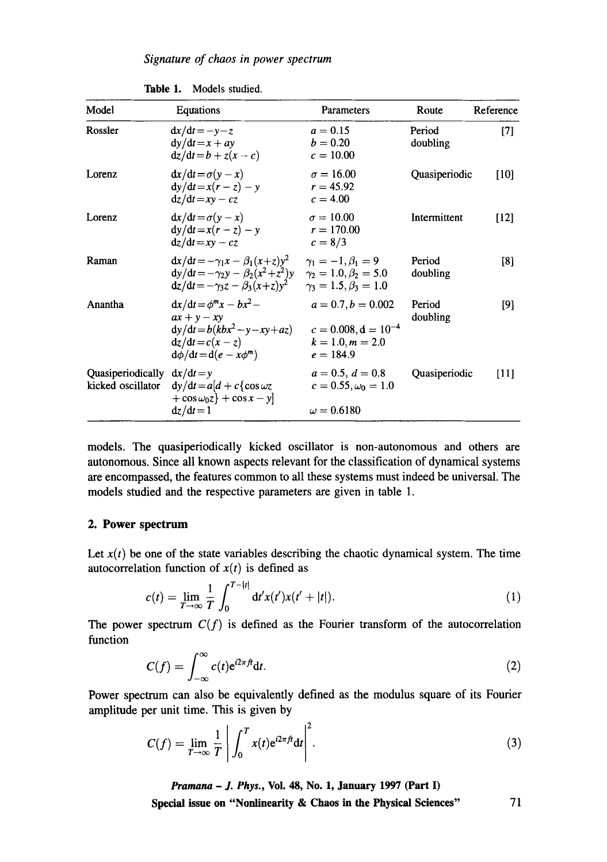| Model                                              | Equations                                                                                                                             | Parameters                                                                                         | Route              | Reference |
|----------------------------------------------------|---------------------------------------------------------------------------------------------------------------------------------------|----------------------------------------------------------------------------------------------------|--------------------|-----------|
| Rossler                                            | $dx/dt = -y-z$<br>$dy/dt = x + ay$<br>$dz/dt = b + z(x - c)$                                                                          | $a = 0.15$<br>$b = 0.20$<br>$c = 10.00$                                                            | Period<br>doubling | [7]       |
| Lorenz                                             | $dx/dt = \sigma(y - x)$<br>$dy/dt = x(r - z) - y$<br>$dz/dt = xy - cz$                                                                | $\sigma = 16.00$<br>$r = 45.92$<br>$c = 4.00$                                                      | Quasiperiodic      | $[10]$    |
| Lorenz                                             | $dx/dt = \sigma(y - x)$<br>$dy/dt = x(r - z) - y$<br>$\mathrm{d}z/\mathrm{d}t = xy - cz$                                              | $\sigma = 10.00$<br>$r = 170.00$<br>$c = 8/3$                                                      | Intermittent       | [12]      |
| Raman                                              | $dx/dt = -\gamma_1 x - \beta_1 (x+z)y^2$<br>$dy/dt = -\gamma_2 y - \beta_2(x^2 + z^2)y$<br>$dz/dt = -\gamma_3 z - \beta_3 (x+z)y^2$   | $\gamma_1 = -1, \beta_1 = 9$<br>$\gamma_2 = 1.0, \beta_2 = 5.0$<br>$\gamma_3 = 1.5, \beta_3 = 1.0$ | Period<br>doubling | [8]       |
| Anantha                                            | $dx/dt = \phi^m x - bx^2 -$<br>$ax + v - xv$<br>$dy/dt = b(kbx^2 - y - xy + az)$<br>$dz/dt = c(x - z)$<br>$d\phi/dt = d(e - x\phi^m)$ | $a = 0.7, b = 0.002$<br>$c = 0.008$ , $d = 10^{-4}$<br>$k = 1.0, m = 2.0$<br>$e = 184.9$           | Period<br>doubling | [9]       |
| Quasiperiodically $dx/dt = y$<br>kicked oscillator | $dy/dt = a[d + c\cos \omega z]$<br>$+\cos \omega_0 z$ + $\cos x - y$<br>$dz/dt = 1$                                                   | $a = 0.5, d = 0.8$<br>$c = 0.55, \omega_0 = 1.0$<br>$\omega = 0.6180$                              | Quasiperiodic      | $[11]$    |

|  | Table 1. |  |  | Models studied. |
|--|----------|--|--|-----------------|
|--|----------|--|--|-----------------|

models. The quasiperiodically kicked oscillator is non-autonomous and others are autonomous. Since all known aspects relevant for the classification of dynamical systems are encompassed, the features common to all these systems must indeed be universal. The models studied and the respective parameters are given in table 1.

# **2. Power spectrum**

Let  $x(t)$  be one of the state variables describing the chaotic dynamical system. The time autocorrelation function of  $x(t)$  is defined as

$$
c(t) = \lim_{T \to \infty} \frac{1}{T} \int_0^{T-|t|} dt' x(t') x(t'+|t|).
$$
 (1)

The power spectrum  $C(f)$  is defined as the Fourier transform of the autocorrelation function

$$
C(f) = \int_{-\infty}^{\infty} c(t) e^{i2\pi ft} dt.
$$
 (2)

**Power** spectrum can also be equivalently defined as the modulus square of its Fourier amplitude per unit time. This is given **by** 

$$
C(f) = \lim_{T \to \infty} \frac{1}{T} \left| \int_0^T x(t) e^{i2\pi ft} dt \right|^2.
$$
 (3)

*Pramana - J. Phys.,* **Vol. 48, No. 1, January 1997 (Part I)**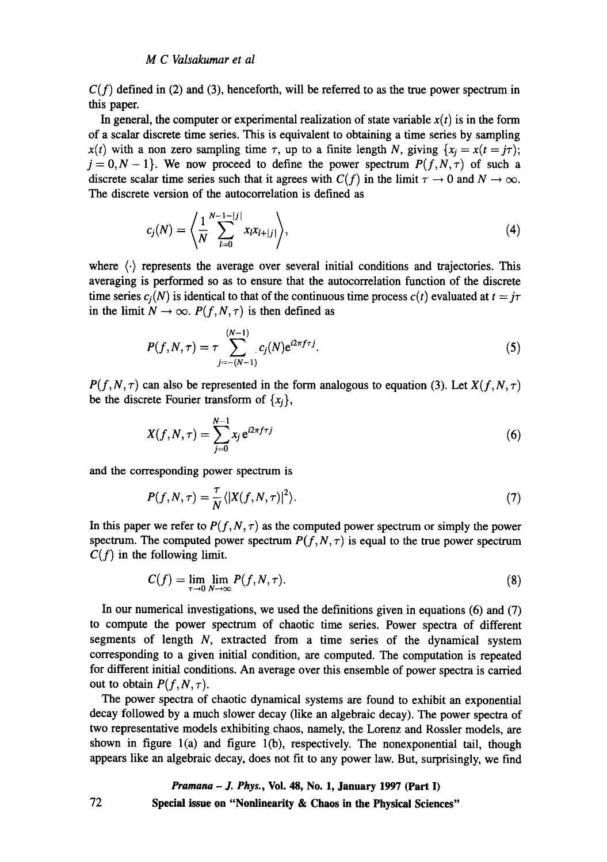$C(f)$  defined in (2) and (3), henceforth, will be referred to as the true power spectrum in this paper.

In general, the computer or experimental realization of state variable  $x(t)$  is in the form of a scalar discrete time series. This is equivalent to obtaining a time series by sampling  $x(t)$  with a non zero sampling time  $\tau$ , up to a finite length N, giving  $\{x_i = x(t = j\tau)\}$ ;  $j = 0, N - 1$ . We now proceed to define the power spectrum  $P(f, N, \tau)$  of such a discrete scalar time series such that it agrees with  $C(f)$  in the limit  $\tau \to 0$  and  $N \to \infty$ . The discrete version of the autocorrelation is defined as

$$
c_j(N) = \left\langle \frac{1}{N} \sum_{l=0}^{N-1-|j|} x_l x_{l+|j|} \right\rangle, \tag{4}
$$

where  $\langle \cdot \rangle$  represents the average over several initial conditions and trajectories. This averaging is performed so as to ensure that the autocorrelation function of the discrete time series  $c_i(N)$  is identical to that of the continuous time process  $c(t)$  evaluated at  $t = j\tau$ in the limit  $N \rightarrow \infty$ .  $P(f, N, \tau)$  is then defined as

$$
P(f, N, \tau) = \tau \sum_{j=- (N-1)}^{(N-1)} c_j(N) e^{i2\pi f \tau j}.
$$
 (5)

 $P(f, N, \tau)$  can also be represented in the form analogous to equation (3). Let  $X(f, N, \tau)$ be the discrete Fourier transform of  $\{x_i\}$ ,

$$
X(f, N, \tau) = \sum_{j=0}^{N-1} x_j e^{i2\pi f \tau j}
$$
 (6)

and the corresponding power spectrum **is** 

$$
P(f, N, \tau) = \frac{\tau}{N} \langle |X(f, N, \tau)|^2 \rangle. \tag{7}
$$

In this paper we refer to  $P(f, N, \tau)$  as the computed power spectrum or simply the power spectrum. The computed power spectrum  $P(f, N, \tau)$  is equal to the true power spectrum  $C(f)$  in the following limit.

$$
C(f) = \lim_{\tau \to 0} \lim_{N \to \infty} P(f, N, \tau).
$$
 (8)

In our numerical investigations, we used the definitions given in equations (6) and (7) to compute the power spectrum of chaotic time series. Power spectra of different segments of length N, extracted from a time series of the dynamical system corresponding to a given initial condition, are computed. The computation is repeated for different initial conditions. An average over this ensemble of power spectra is carried out to obtain  $P(f, N, \tau)$ .

The power spectra of chaotic dynamical systems are found to exhibit an exponential decay followed by a much slower decay (like an algebraic decay). The power spectra of two representative models exhibiting chaos, namely, the Lorenz and Rossler models, are shown in figure l(a) and figure l(b), respectively. The nonexponential tail, though appears like an algebraic decay, does not fit to any power law. But, surprisingly, we find

# *Pramana - J. Phys.,* **Vol. 48, No. 1, January 1997 (Part I)**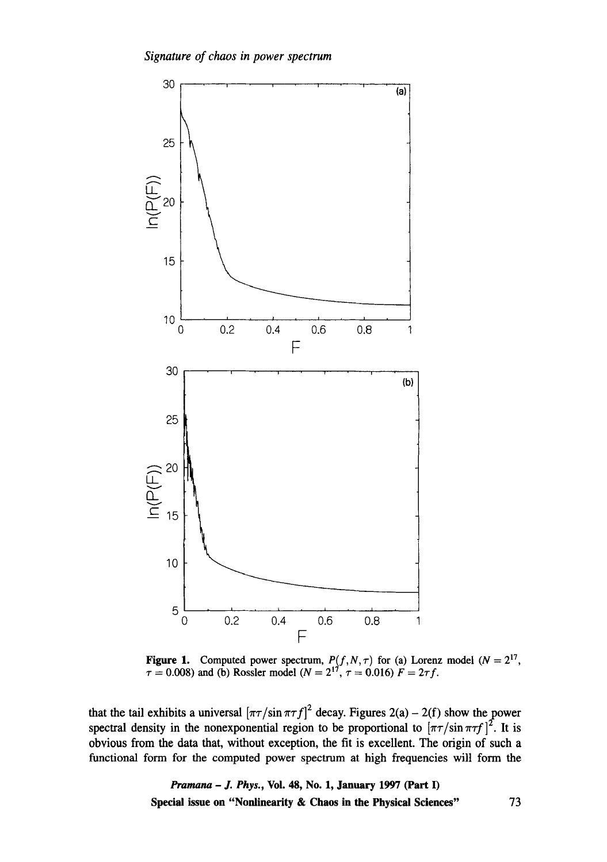

**Figure 1.** Computed power spectrum,  $P(f, N, \tau)$  for (a) Lorenz model  $(N = 2^{17},$  $\tau = 0.008$ ) and (b) Rossler model ( $N = 2^{17}$ ,  $\tau = 0.016$ )  $F = 2\tau f$ .

that the tail exhibits a universal  $[\pi\tau/\sin \pi\tau f]^2$  decay. Figures 2(a) - 2(f) show the power spectral density in the nonexponential region to be proportional to  $[\pi \tau / \sin \pi \tau f]^2$ . It is obvious from the data that, without exception, the fit is excellent. The origin of such a functional form for the computed power spectrum at high frequencies wilt form the

> *Pramana - J. Phys.,* **Vol. 48, No. 1, January 1997 (Part I) Special issue on "Nonlinearity & Chaos in the Physical Sciences"** 73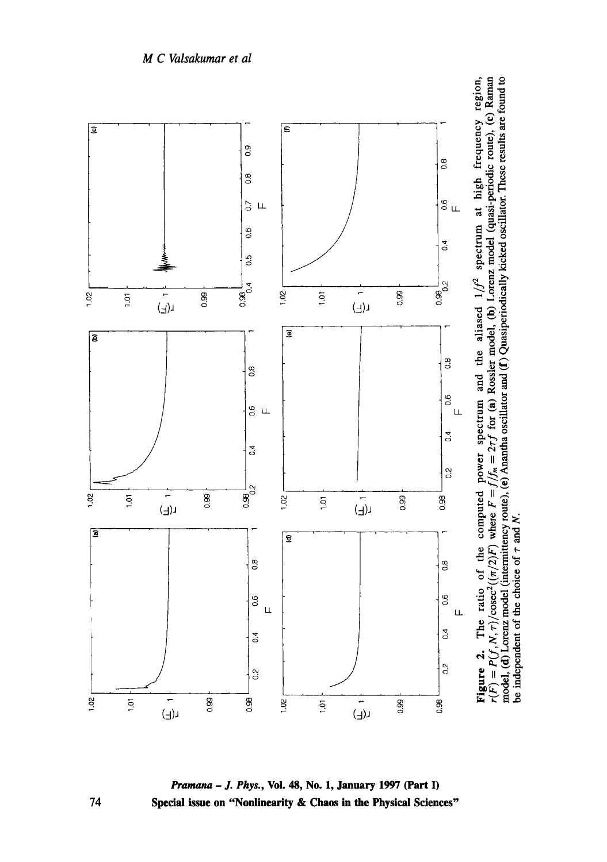



74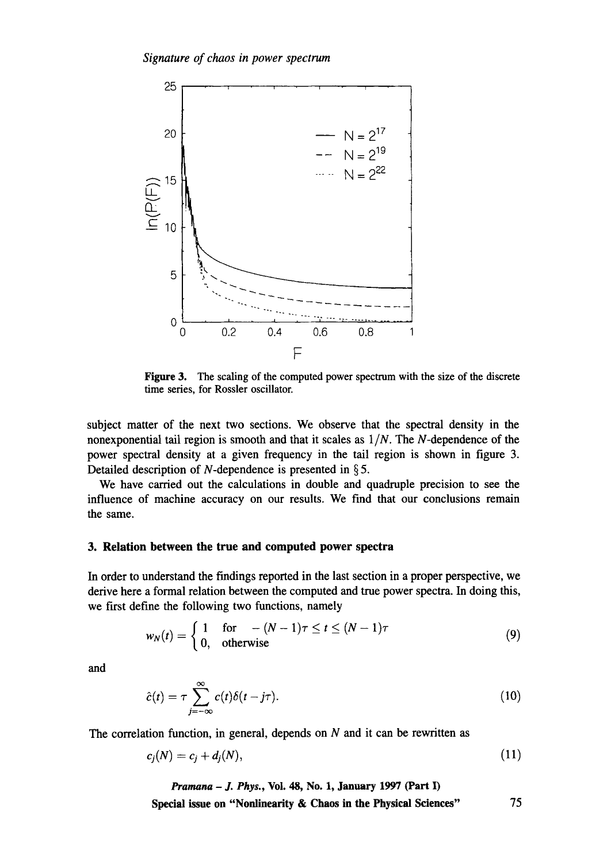

Figure 3. The scaling of the computed power spectrum with the size of the discrete time series, for Rossler oscillator.

subject matter of the next two sections. We observe that the spectral density in the nonexponential tail region is smooth and that it scales as *1IN.* The N-dependence of the power spectral density at a given frequency in the tail region is shown in figure 3. Detailed description of N-dependence is presented in § 5.

We have carried out the calculations in double and quadruple precision to see the influence of machine accuracy on our results. We find that our conclusions remain the same.

### **3. Relation between the true and computed power spectra**

In order to understand the findings reported in the last section in a proper perspective, we derive here a formal relation between the computed and true power spectra. In doing this, we first define the following two functions, namely

$$
w_N(t) = \begin{cases} 1 & \text{for } -(N-1)\tau \le t \le (N-1)\tau \\ 0, & \text{otherwise} \end{cases}
$$
(9)

and

$$
\hat{c}(t) = \tau \sum_{j=-\infty}^{\infty} c(t)\delta(t - j\tau). \tag{10}
$$

The correlation function, in general, depends on  $N$  and it can be rewritten as

$$
c_j(N) = c_j + d_j(N),\tag{11}
$$

*Pramana - J. Phys., Vol. 48, No. 1, January 1997 (Part I)* **Special issue on "Nonlinearity & Chaos in the Physical Sciences"** 75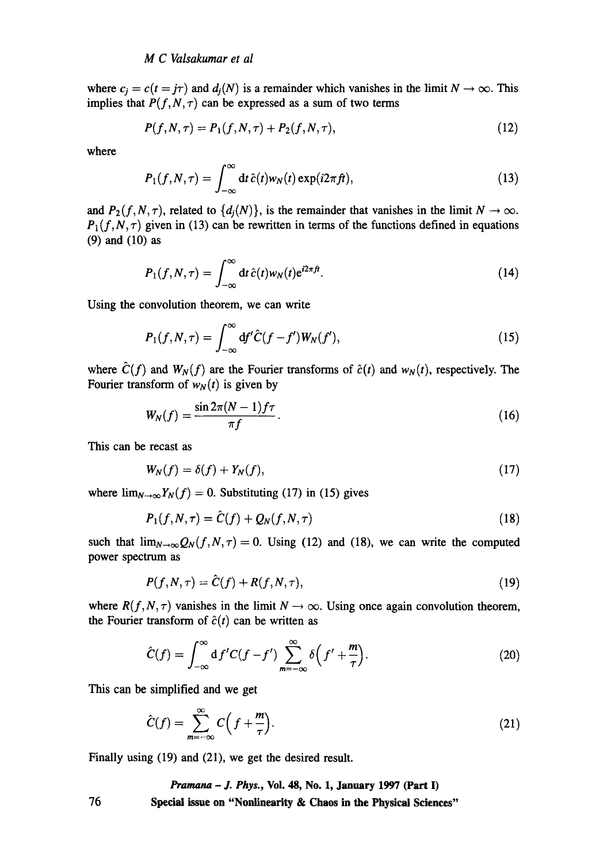where  $c_i = c(t = j\tau)$  and  $d_i(N)$  is a remainder which vanishes in the limit  $N \to \infty$ . This implies that  $P(f, N, \tau)$  can be expressed as a sum of two terms

$$
P(f, N, \tau) = P_1(f, N, \tau) + P_2(f, N, \tau), \tag{12}
$$

where

$$
P_1(f, N, \tau) = \int_{-\infty}^{\infty} dt \,\hat{c}(t) w_N(t) \exp(i2\pi ft), \qquad (13)
$$

and  $P_2(f, N, \tau)$ , related to  $\{d_i(N)\}\$ , is the remainder that vanishes in the limit  $N \to \infty$ .  $P_1(f, N, \tau)$  given in (13) can be rewritten in terms of the functions defined in equations (9) and (10) as

$$
P_1(f, N, \tau) = \int_{-\infty}^{\infty} dt \,\hat{c}(t) w_N(t) e^{i2\pi ft}.
$$
\n(14)

Using the convolution theorem, we can write

$$
P_1(f, N, \tau) = \int_{-\infty}^{\infty} df' \hat{C}(f - f') W_N(f'), \qquad (15)
$$

where  $\hat{C}(f)$  and  $W_N(f)$  are the Fourier transforms of  $\hat{c}(t)$  and  $W_N(t)$ , respectively. The Fourier transform of  $w_N(t)$  is given by

$$
W_N(f) = \frac{\sin 2\pi (N-1)f\tau}{\pi f}.
$$
\n(16)

This can be recast as

$$
W_N(f) = \delta(f) + Y_N(f),\tag{17}
$$

where  $\lim_{N\to\infty}Y_N(f) = 0$ . Substituting (17) in (15) gives

$$
P_1(f, N, \tau) = \hat{C}(f) + Q_N(f, N, \tau) \tag{18}
$$

such that  $\lim_{N\to\infty} Q_N(f, N, \tau) = 0$ . Using (12) and (18), we can write the computed power spectrum as

$$
P(f, N, \tau) = \hat{C}(f) + R(f, N, \tau),\tag{19}
$$

where  $R(f, N, \tau)$  vanishes in the limit  $N \to \infty$ . Using once again convolution theorem, the Fourier transform of  $\hat{c}(t)$  can be written as

$$
\hat{C}(f) = \int_{-\infty}^{\infty} df'C(f - f') \sum_{m = -\infty}^{\infty} \delta\left(f' + \frac{m}{\tau}\right).
$$
 (20)

This can be simplified and we get

$$
\hat{C}(f) = \sum_{m=-\infty}^{\infty} C\left(f + \frac{m}{\tau}\right).
$$
\n(21)

Finally using (19) and (21), we get the desired result.

# *Pramana - J. Phys.,* **Vol. 48, No. 1, January 1997 (Part I) 76 Special issue on "Nonlinearity & Chaos in the Physical Sciences"**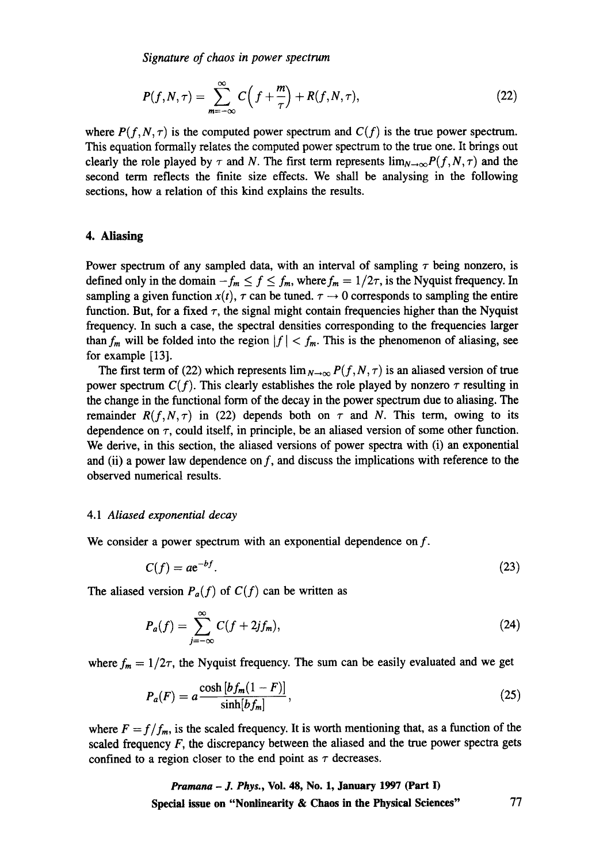*Signature of chaos in power spectrum* 

$$
P(f, N, \tau) = \sum_{m=-\infty}^{\infty} C\left(f + \frac{m}{\tau}\right) + R(f, N, \tau),\tag{22}
$$

where  $P(f, N, \tau)$  is the computed power spectrum and  $C(f)$  is the true power spectrum. This equation formally relates the computed power spectrum to the true one. It brings out clearly the role played by  $\tau$  and N. The first term represents  $\lim_{N\to\infty} P(f, N, \tau)$  and the second term reflects the finite size effects. We shall be analysing in the following sections, how a relation of this kind explains the results.

### **4. Aliasing**

Power spectrum of any sampled data, with an interval of sampling  $\tau$  being nonzero, is defined only in the domain  $-f_m \le f \le f_m$ , where  $f_m = 1/2\tau$ , is the Nyquist frequency. In sampling a given function  $x(t)$ ,  $\tau$  can be tuned,  $\tau \rightarrow 0$  corresponds to sampling the entire function. But, for a fixed  $\tau$ , the signal might contain frequencies higher than the Nyquist frequency. In such a case, the spectral densities corresponding to the frequencies larger than  $f_m$  will be folded into the region  $|f| < f_m$ . This is the phenomenon of aliasing, see for example [13].

The first term of (22) which represents  $\lim_{N\to\infty} P(f, N, \tau)$  is an aliased version of true power spectrum  $C(f)$ . This clearly establishes the role played by nonzero  $\tau$  resulting in the change in the functional form of the decay in the power spectrum due to aliasing. The remainder  $R(f, N, \tau)$  in (22) depends both on  $\tau$  and N. This term, owing to its dependence on  $\tau$ , could itself, in principle, be an aliased version of some other function. We derive, in this section, the aliased versions of power spectra with (i) an exponential and (ii) a power law dependence on f, and discuss the implications with reference to the observed numerical results.

### *4.1 Aliased exponential decay*

We consider a power spectrum with an exponential dependence on f.

$$
C(f) = a e^{-bf}.\tag{23}
$$

The aliased version  $P_a(f)$  of  $C(f)$  can be written as

$$
P_a(f) = \sum_{j=-\infty}^{\infty} C(f + 2jf_m),\tag{24}
$$

where  $f_m = 1/2\tau$ , the Nyquist frequency. The sum can be easily evaluated and we get

$$
P_a(F) = a \frac{\cosh\left[bf_m(1-F)\right]}{\sinh\left[bf_m\right]},\tag{25}
$$

where  $F = f/f_m$ , is the scaled frequency. It is worth mentioning that, as a function of the scaled frequency  $F$ , the discrepancy between the aliased and the true power spectra gets confined to a region closer to the end point as  $\tau$  decreases.

> *Pramana - J. Phys.,* **Vol. 48, No. 1, January 1997 (Part I) Special issue on "Nonlinearity & Chaos in the Physical Sciences" 77**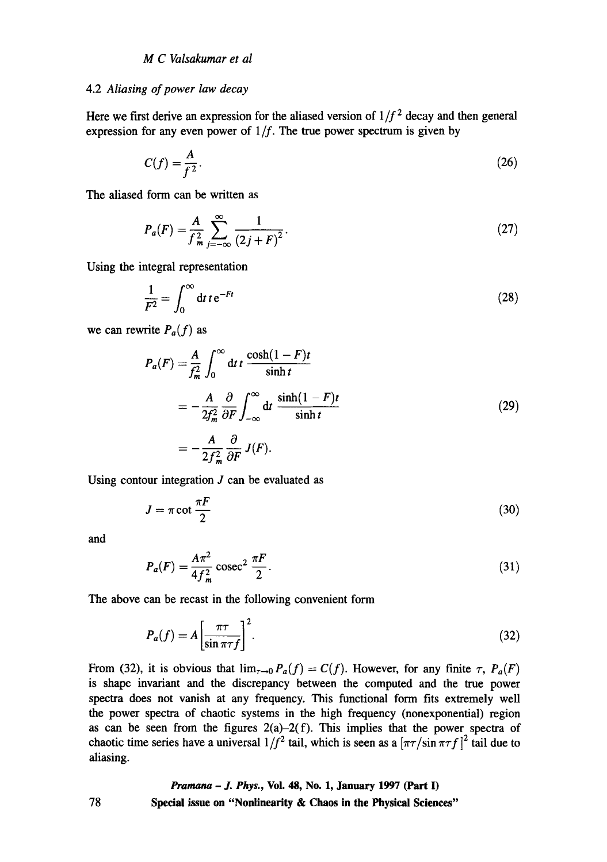#### 4.2 *Aliasing of power law decay*

Here we first derive an expression for the aliased version of  $1/f^2$  decay and then general expression for any even power of  $1/f$ . The true power spectrum is given by

$$
C(f) = \frac{A}{f^2}.\tag{26}
$$

The aliased form can be written as

$$
P_a(F) = \frac{A}{f_m^2} \sum_{j=-\infty}^{\infty} \frac{1}{(2j+F)^2}.
$$
 (27)

Using the integral representation

$$
\frac{1}{F^2} = \int_0^\infty dt \, t e^{-Ft} \tag{28}
$$

we can rewrite  $P_a(f)$  as

$$
P_a(F) = \frac{A}{f_m^2} \int_0^\infty dt \, t \, \frac{\cosh(1-F)t}{\sinh t}
$$
  
=  $-\frac{A}{2f_m^2} \frac{\partial}{\partial F} \int_{-\infty}^\infty dt \, \frac{\sinh(1-F)t}{\sinh t}$   
=  $-\frac{A}{2f_m^2} \frac{\partial}{\partial F} J(F).$  (29)

Using contour integration  $J$  can be evaluated as

$$
J = \pi \cot \frac{\pi F}{2} \tag{30}
$$

and

$$
P_a(F) = \frac{A\pi^2}{4f_m^2} \csc^2 \frac{\pi F}{2}.
$$
 (31)

The above can be recast in the following convenient form

$$
P_a(f) = A \left[ \frac{\pi \tau}{\sin \pi \tau f} \right]^2.
$$
 (32)

From (32), it is obvious that  $\lim_{\tau\to 0} P_a(f) = C(f)$ . However, for any finite  $\tau$ ,  $P_a(F)$ is shape invariant and the discrepancy between the computed and the true power spectra does not vanish at any frequency. This functional form fits extremely well the power spectra of chaotic systems in the high frequency (nonexponential) region as can be seen from the figures  $2(a)-2(f)$ . This implies that the power spectra of chaotic time series have a universal  $1/f^2$  tail, which is seen as a  $[\pi/\sin \pi f]^2$  tail due to aliasing.

# *Pramana - J. Phys.,* **Vol. 48, No. 1, January 1997 (Part I) Special issue on "Nonlinearity & Chaos in the Physical Sciences"**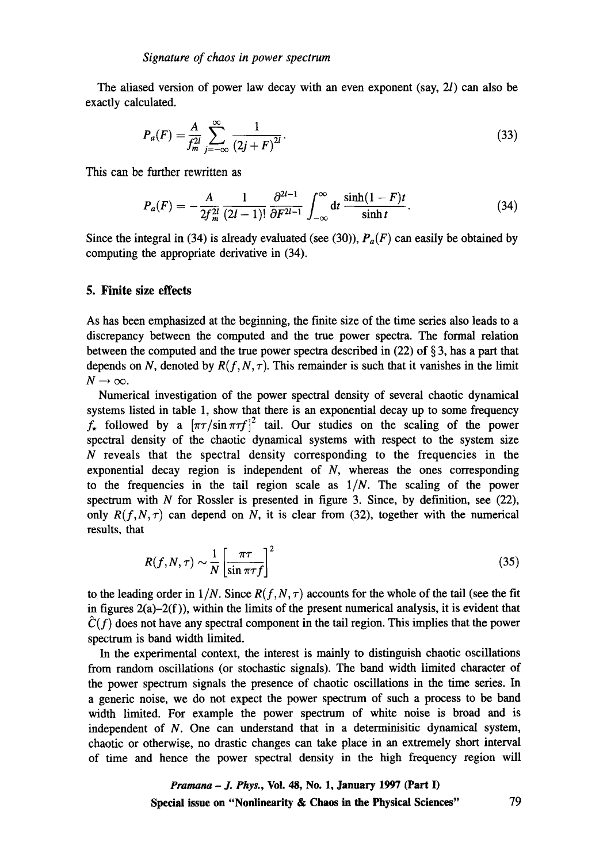The aliased version of power law decay with an even exponent (say, 2l) can also be exactly calculated.

$$
P_a(F) = \frac{A}{f_m^{2l}} \sum_{j=-\infty}^{\infty} \frac{1}{(2j+F)^{2l}}.
$$
 (33)

This can be further rewritten as

$$
P_a(F) = -\frac{A}{2f_m^{2l}} \frac{1}{(2l-1)!} \frac{\partial^{2l-1}}{\partial F^{2l-1}} \int_{-\infty}^{\infty} dt \frac{\sinh(1-F)t}{\sinh t}.
$$
 (34)

Since the integral in (34) is already evaluated (see (30)),  $P_a(F)$  can easily be obtained by computing the appropriate derivative in (34).

### **5. Finite size effects**

As has been emphasized at the beginning, the finite size of the time series also leads to a discrepancy **between the** computed and the true power spectra. The formal relation between the computed and the true power spectra described in  $(22)$  of  $\S$ 3, has a part that depends on N, denoted by  $R(f, N, \tau)$ . This remainder is such that it vanishes in the limit  $N\rightarrow\infty$ .

Numerical investigation of the power spectral density of several chaotic dynamical systems listed in table 1, show that there is an exponential decay up to some frequency  $f_{\star}$  followed by a  $[\pi\tau/\sin \pi\tau f]^2$  tail. Our studies on the scaling of the power spectral density of the chaotic dynamical systems with respect to the system size  $N$  reveals that the spectral density corresponding to the frequencies in the exponential decay region is independent of  $N$ , whereas the ones corresponding to the frequencies in the tail region scale as *1/N. The* scaling of the power spectrum with  $N$  for Rossler is presented in figure 3. Since, by definition, see (22), only  $R(f, N, \tau)$  can depend on N, it is clear from (32), together with the numerical results, that

$$
R(f, N, \tau) \sim \frac{1}{N} \left[ \frac{\pi \tau}{\sin \pi \tau f} \right]^2 \tag{35}
$$

to the leading order in  $1/N$ . Since  $R(f, N, \tau)$  accounts for the whole of the tail (see the fit in figures  $2(a)-2(f)$ ), within the limits of the present numerical analysis, it is evident that  $\hat{C}(f)$  does not have any spectral component in the tail region. This implies that the power spectrum is band width limited.

In the experimental context, the interest is mainly to distinguish chaotic oscillations from random oscillations (or stochastic signals). The band width limited character of the power spectrum signals the presence of chaotic oscillations in the time series. In a generic noise, we do not expect the power spectrum of such a process to be band width limited. For example the power spectrum of white noise is broad and is independent of  $N$ . One can understand that in a determinisitic dynamical system, chaotic or otherwise, no drastic changes can take place in an extremely short interval of time and hence the power spectral density in the high frequency region will

*Pramana - J. Phys.,* **Vol. 48, No. 1, January 1997 (Part I) Special issue on "Nonlinearity & Chaos in the Physical Sciences"** 79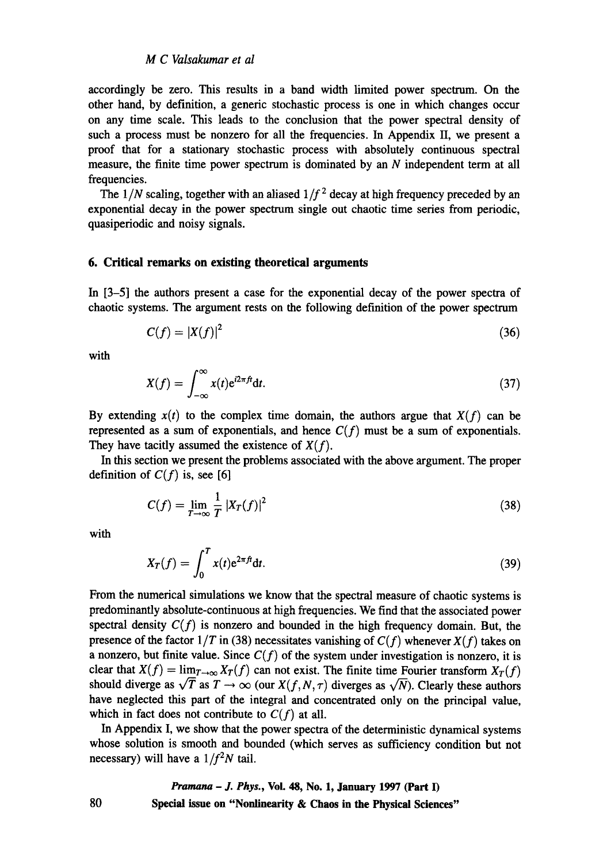accordingly be zero. This results in a band width limited power spectrum. On the other hand, by definition, a generic stochastic process is one in which changes occur on any time scale. This leads to the conclusion that the power spectral density of such a process must be nonzero for all the frequencies. In Appendix II, we present a proof that for a stationary stochastic process with absolutely continuous spectral measure, the finite time power spectrum is dominated by an N independent term at all frequencies.

The  $1/N$  scaling, together with an aliased  $1/f<sup>2</sup>$  decay at high frequency preceded by an exponential decay in the power spectrum single out chaotic time series from periodic, quasiperiodic and noisy signals.

# **6. Critical remarks on existing theoretical arguments**

In [3-5] the authors present a case for the exponential decay of the power spectra of chaotic systems. The argument rests on the following definition of the power spectrum

$$
C(f) = |X(f)|^2 \tag{36}
$$

with

$$
X(f) = \int_{-\infty}^{\infty} x(t) e^{i2\pi ft} dt.
$$
 (37)

By extending  $x(t)$  to the complex time domain, the authors argue that  $X(f)$  can be represented as a sum of exponentials, and hence  $C(f)$  must be a sum of exponentials. They have tacitly assumed the existence of *X(f).* 

In this section we present the problems associated with the above argument. The proper definition of  $C(f)$  is, see [6]

$$
C(f) = \lim_{T \to \infty} \frac{1}{T} |X_T(f)|^2
$$
\n(38)

with

$$
X_T(f) = \int_0^T x(t) e^{2\pi ft} dt.
$$
 (39)

From the numerical simulations we know that the spectral measure of chaotic systems is predominantly absolute-continuous at high frequencies. We find that the associated power spectral density  $C(f)$  is nonzero and bounded in the high frequency domain. But, the presence of the factor  $1/T$  in (38) necessitates vanishing of  $C(f)$  whenever  $X(f)$  takes on a nonzero, but finite value. Since  $C(f)$  of the system under investigation is nonzero, it is clear that  $X(f) = \lim_{T \to \infty} X_T(f)$  can not exist. The finite time Fourier transform  $X_T(f)$ should diverge as  $\sqrt{T}$  as  $T \to \infty$  (our  $X(f, N, \tau)$  diverges as  $\sqrt{N}$ ). Clearly these authors have neglected this part of the integral and concentrated only on the principal value, which in fact does not contribute to  $C(f)$  at all.

In Appendix I, we show that the power spectra of the deterministic dynamical systems whose solution is smooth and bounded (which serves as sufficiency condition but not necessary) will have a  $1/f<sup>2</sup>N$  tail.

# *Pramana - J. Phys.,* **Vol. 48, No. 1, January 1997 (Part I) Special issue on "Nonlinearity & Chaos in the Physical Sciences"**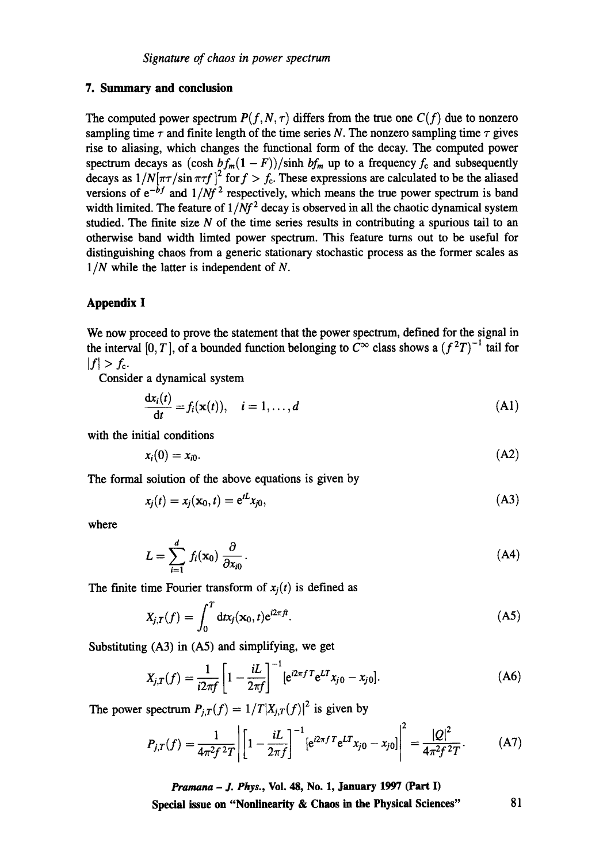# **7. Summary and conclusion**

The computed power spectrum  $P(f, N, \tau)$  differs from the true one  $C(f)$  due to nonzero sampling time  $\tau$  and finite length of the time series N. The nonzero sampling time  $\tau$  gives rise to aliasing, which changes the functional form of the decay. The computed power spectrum decays as  $(\cosh bf_m(1 - F))/\sinh bf_m$  up to a frequency  $f_c$  and subsequently decays as  $1/N[\pi\tau/\sin \pi\tau f]^2$  for  $f > f_c$ . These expressions are calculated to be the aliased versions of  $e^{-b f}$  and  $1/Nf^2$  respectively, which means the true power spectrum is band width limited. The feature of  $1/Nf^2$  decay is observed in all the chaotic dynamical system studied. The finite size  $N$  of the time series results in contributing a spurious tail to an otherwise band width limted power spectrum. This feature turns out to be useful for distinguishing chaos from a generic stationary stochastic process as the former scales as *1/N* while the latter is independent of N.

# **Appendix I**

We now proceed to prove the statement **that the** power spectrum, defined for the signal in the interval [0, T], of a bounded function belonging to  $C^{\infty}$  class shows a  $(f^{2}T)^{-1}$  tail for  $|f| > f_c$ .

Consider a dynamical system

$$
\frac{dx_i(t)}{dt} = f_i(\mathbf{x}(t)), \quad i = 1, \dots, d
$$
\n(A1)

with the initial conditions

$$
x_i(0) = x_{i0}.\tag{A2}
$$

The formal solution of the above equations is given by

$$
x_j(t) = x_j(\mathbf{x}_0, t) = e^{tL} x_{j0}, \tag{A3}
$$

where

$$
L = \sum_{i=1}^{d} f_i(\mathbf{x}_0) \frac{\partial}{\partial x_{i0}}.
$$
 (A4)

The finite time Fourier transform of  $x_i(t)$  is defined as

$$
X_{j,T}(f) = \int_0^T \mathrm{d}tx_j(\mathbf{x}_0, t) e^{i2\pi ft}.
$$
 (A5)

Substituting (A3) **in** (A5) and simplifying, we get

$$
X_{j,T}(f) = \frac{1}{i2\pi f} \left[ 1 - \frac{iL}{2\pi f} \right]^{-1} \left[ e^{i2\pi f} e^{LT} x_{j0} - x_{j0} \right]. \tag{A6}
$$

The power spectrum  $P_{i,T}(f) = 1/T |X_{i,T}(f)|^2$  is given by

$$
P_{j,T}(f) = \frac{1}{4\pi^2 f^2 T} \left| \left[ 1 - \frac{iL}{2\pi f} \right]^{-1} \left[ e^{i2\pi f T} e^{LT} x_{j0} - x_{j0} \right] \right|^2 = \frac{|Q|^2}{4\pi^2 f^2 T}.
$$
 (A7)

*Pramana - J. Phys.,* **¥ol. 48, No. 1, January 1997 (Part I)**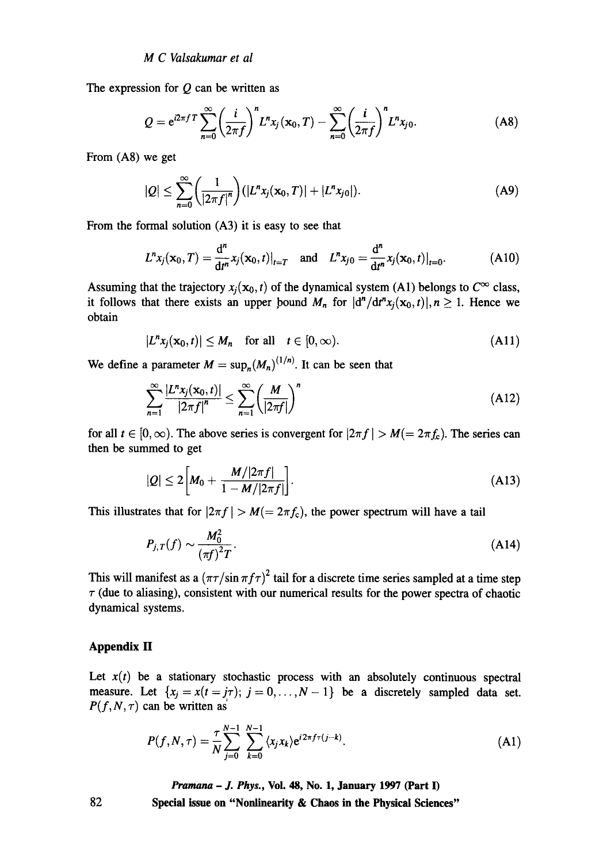The expression for  $Q$  can be written as

$$
Q = e^{i2\pi f} \sum_{n=0}^{\infty} \left(\frac{i}{2\pi f}\right)^n L^n x_j(\mathbf{x}_0, T) - \sum_{n=0}^{\infty} \left(\frac{i}{2\pi f}\right)^n L^n x_{j0}.
$$
 (A8)

From (A8) we get

$$
|Q| \leq \sum_{n=0}^{\infty} \left(\frac{1}{|2\pi f|^n}\right) (|L^n x_j(\mathbf{x}_0, T)| + |L^n x_{j0}|). \tag{A9}
$$

From the formal solution (A3) it is easy to see that

$$
L^{n} x_{j}(\mathbf{x}_{0}, T) = \frac{d^{n}}{dt^{n}} x_{j}(\mathbf{x}_{0}, t)|_{t=T} \text{ and } L^{n} x_{j0} = \frac{d^{n}}{dt^{n}} x_{j}(\mathbf{x}_{0}, t)|_{t=0}.
$$
 (A10)

Assuming that the trajectory  $x_i(\mathbf{x}_0, t)$  of the dynamical system (A1) belongs to  $C^{\infty}$  class, it follows that there exists an upper bound  $M_n$  for  $|d^n/d^n x_i(x_0,t)|, n \ge 1$ . Hence we obtain

$$
|L^n x_j(\mathbf{x}_0,t)| \le M_n \quad \text{for all} \quad t \in [0,\infty).
$$
 (A11)

We define a parameter  $M = \sup_n (M_n)^{(1/n)}$ . It can be seen that

$$
\sum_{n=1}^{\infty} \frac{|L^n x_j(\mathbf{x}_0, t)|}{|2\pi f|^n} \le \sum_{n=1}^{\infty} \left(\frac{M}{|2\pi f|}\right)^n \tag{A12}
$$

for all  $t \in [0, \infty)$ . The above series is convergent for  $|2\pi f| > M (= 2\pi f_0)$ . The series can then be summed to get

$$
|Q| \leq 2\bigg[M_0 + \frac{M/|2\pi f|}{1 - M/|2\pi f|}\bigg].\tag{A13}
$$

This illustrates that for  $|2\pi f| > M (= 2\pi f_c)$ , the power spectrum will have a tail

$$
P_{j,T}(f) \sim \frac{M_0^2}{\left(\pi f\right)^2 T}.\tag{A14}
$$

This will manifest as a  $(\pi r / \sin \pi f \tau)^2$  tail for a discrete time series sampled at a time step  $\tau$  (due to aliasing), consistent with our numerical results for the power spectra of chaotic dynamical systems.

### **Appendix H**

Let  $x(t)$  be a stationary stochastic process with an absolutely continuous spectral measure. Let  $\{x_i = x(t = j\tau); j = 0, \ldots, N-1\}$  be a discretely sampled data set.  $P(f, N, \tau)$  can be written as

$$
P(f, N, \tau) = \frac{\tau}{N} \sum_{j=0}^{N-1} \sum_{k=0}^{N-1} \langle x_j x_k \rangle e^{i 2\pi f \tau (j-k)}.
$$
 (A1)

*Pramana - J. Phys.,* **Vol. 48, No. 1, January 1997 (Part I)** 

**Special issue on "Nonlinearity & Chaos in the Physical Sciences"**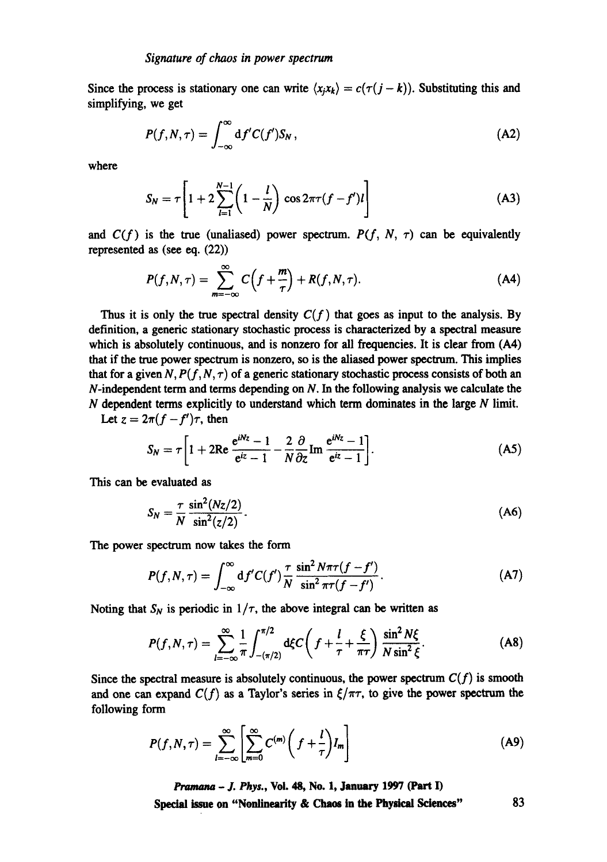Since the process is stationary one can write  $\langle x_j x_k \rangle = c(\tau(j-k))$ . Substituting this and simplifying, we get

$$
P(f, N, \tau) = \int_{-\infty}^{\infty} \mathrm{d}f'C(f')S_N, \qquad (A2)
$$

where

$$
S_N = \tau \left[ 1 + 2 \sum_{l=1}^{N-1} \left( 1 - \frac{l}{N} \right) \cos 2\pi \tau (f - f') l \right]
$$
 (A3)

and  $C(f)$  is the true (unaliased) power spectrum.  $P(f, N, \tau)$  can be equivalently represented as (see **eq. (22))** 

$$
P(f, N, \tau) = \sum_{m=-\infty}^{\infty} C\left(f + \frac{m}{\tau}\right) + R(f, N, \tau). \tag{A4}
$$

Thus it is only the true spectral density  $C(f)$  that goes as input to the analysis. By definition, a generic stationary stochastic process is characterized by a spectral measure which is absolutely continuous, and is nonzero for all frequencies. It is clear from  $(A4)$ that if the true power spectrum is nonzero, so is the aliased power spectrum. This implies that for a given N,  $P(f, N, \tau)$  of a generic stationary stochastic process consists of both an  $N$ -independent term and terms depending on  $N$ . In the following analysis we calculate the  $N$  dependent terms explicitly to understand which term dominates in the large  $N$  limit.

Let  $z = 2\pi (f - f')\tau$ , then

$$
S_N = \tau \left[ 1 + 2\text{Re} \frac{e^{iNz} - 1}{e^{iz} - 1} - \frac{2}{N} \frac{\partial}{\partial z} \text{Im} \frac{e^{iNz} - 1}{e^{iz} - 1} \right].
$$
 (A5)

This can be evaluated as

$$
S_N = \frac{\tau}{N} \frac{\sin^2(Nz/2)}{\sin^2(z/2)}.
$$
 (A6)

The power spectrum now takes the form

$$
P(f, N, \tau) = \int_{-\infty}^{\infty} df'C(f') \frac{\tau}{N} \frac{\sin^2 N\pi \tau (f - f')}{\sin^2 \pi \tau (f - f')}.
$$
 (A7)

Noting that  $S_N$  is periodic in  $1/\tau$ , the above integral can be written as

$$
P(f, N, \tau) = \sum_{l=-\infty}^{\infty} \frac{1}{\pi} \int_{-(\pi/2)}^{\pi/2} d\xi C \left( f + \frac{l}{\tau} + \frac{\xi}{\pi \tau} \right) \frac{\sin^2 N\xi}{N \sin^2 \xi}.
$$
 (A8)

Since the spectral measure is absolutely continuous, the power spectrum  $C(f)$  is smooth and one can expand  $C(f)$  as a Taylor's series in  $\xi/\pi\tau$ , to give the power spectrum the following form

$$
P(f, N, \tau) = \sum_{l=-\infty}^{\infty} \left[ \sum_{m=0}^{\infty} C^{(m)} \left( f + \frac{l}{\tau} \right) I_m \right]
$$
(A9)

*Pramana - ]. Phys.,* **Vol. 48, No. 1, January 1997 (Part I)**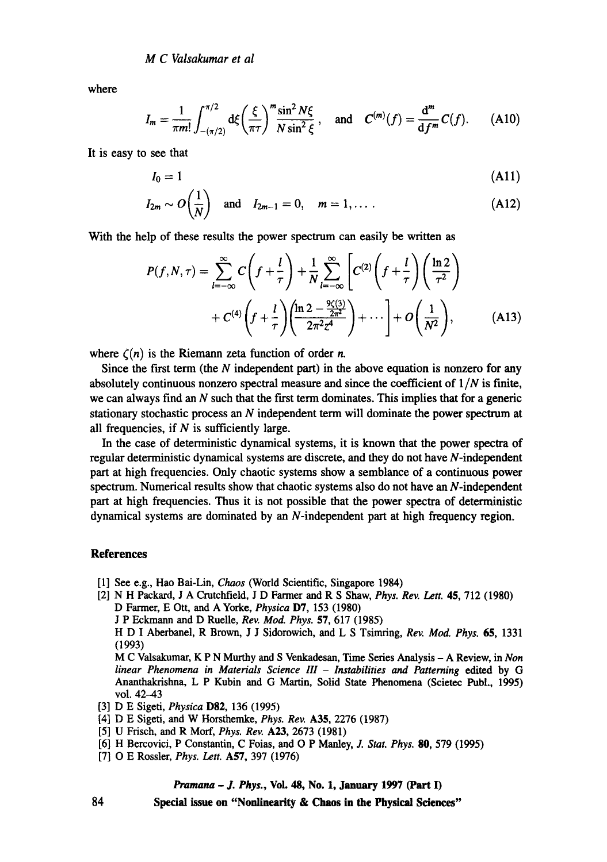where

$$
I_m = \frac{1}{\pi m!} \int_{-(\pi/2)}^{\pi/2} d\xi \left(\frac{\xi}{\pi \tau}\right)^m \frac{\sin^2 N\xi}{N \sin^2 \xi}, \text{ and } C^{(m)}(f) = \frac{d^m}{df^m} C(f). \quad (A10)
$$

It is easy to see that

$$
I_0 = 1 \tag{A11}
$$

$$
I_{2m} \sim O\left(\frac{1}{N}\right)
$$
 and  $I_{2m-1} = 0$ ,  $m = 1, ...$  (A12)

With the help of these results the power spectrum can easily be written as

$$
P(f, N, \tau) = \sum_{l = -\infty}^{\infty} C\left(f + \frac{l}{\tau}\right) + \frac{1}{N} \sum_{l = -\infty}^{\infty} \left[C^{(2)}\left(f + \frac{l}{\tau}\right)\left(\frac{\ln 2}{\tau^2}\right) + C^{(4)}\left(f + \frac{l}{\tau}\right)\left(\frac{\ln 2 - \frac{9\zeta(3)}{2\pi^2}}{2\pi^2 z^4}\right) + \cdots\right] + O\left(\frac{1}{N^2}\right),\tag{A13}
$$

where  $\zeta(n)$  is the Riemann zeta function of order *n*.

Since the first term (the  $N$  independent part) in the above equation is nonzero for any absolutely continuous nonzero spectral measure and since the coefficient of  $1/N$  is finite, we can always find an  $N$  such that the first term dominates. This implies that for a generic stationary stochastic process an N independent term will dominate the power spectrum at all frequencies, if  $N$  is sufficiently large.

In the case of deterministic dynamical systems, it is known that the power spectra of regular deterministic dynamical systems are discrete, and they do not have N-independent part at high frequencies. Only chaotic systems show a semblance of a continuous power spectrum. Numerical results show that chaotic systems also do not have an N-independent part at high frequencies. Thus it is not possible that the power spectra of deterministic dynamical systems are dominated by an N-independent part at high frequency region.

# **References**

- [1] See e.g., Hao Bai-Lin, *Chaos* (World Scientific, Singapore 1984)
- [2] N H Packard, J A Crutchfield, J D Farmer and R S Shaw, *Phys. Rev. Lett. 45,* 712 (1980) D Farmer, E Ott, and A Yorke, *Physica* D7, 153 (1980) J P Eckmann and D Ruelle, *Rev. Mod. Phys.* 57, 617 (1985) H D I Aberbanel, R Brown, J J Sidorowich, and L S Tsimring, *Rev. Mod. Phys. 65,* 1331 (1993) M C Valsakumar, K P N Murthy and S Venkadesan, Time Series Analysis - A Review, in *Non linear Phenomena in Materials Science III - Instabilities and Patterning efftted* by G Ananthakrishna, L P Kubin and G Martin, Solid State Phenomena (Seietec Publ., 1995) vol. 42-43 [3] D E Sigeti, *Physica* D82, 136 (1995)
- 
- [4] D E Sigeti, and W Horsthemke, *Phys. Rev.* A35, 2276 (1987)
- [5] U Frisch, and R Morf, *Phys. Rev.* A23, 2673 (1981)
- [6] H Bercovici, P Constantin, C Foias, and O P Manley, J. *Stat. Phys.* 80, 579 (1995)
- [7] O E Rossler, *Phys. Lett.* A57, 397 (1976)

#### *Pramana - J. Phys.,* **Vol. 48, No. 1, January 1997 (Part I)**

**Special issue on "Nonlinearity & Chaos in the Physical Sciences"**